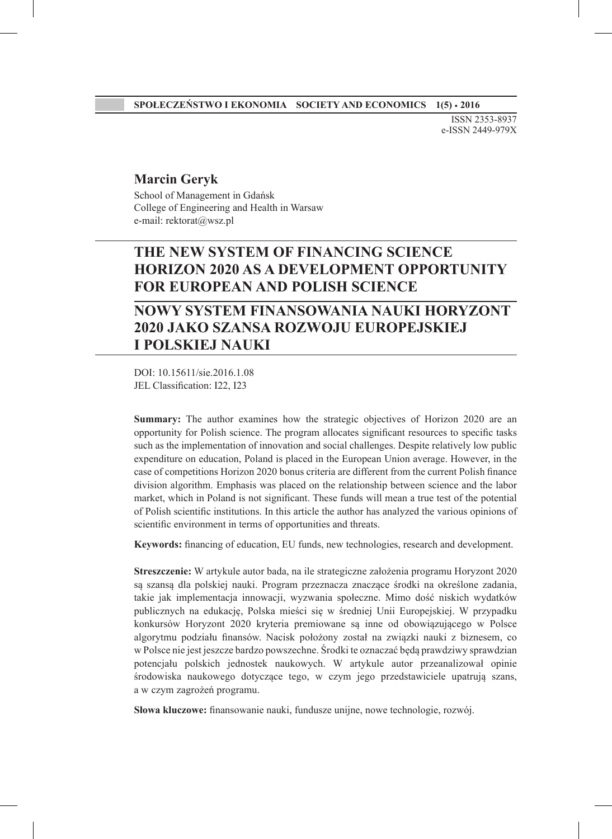ISSN 2353-8937 e-ISSN 2449-979X

#### **Marcin Geryk**

School of Management in Gdańsk College of Engineering and Health in Warsaw e-mail: rektorat@wsz.pl

# **THE NEW SYSTEM OF FINANCING SCIENCE HORIZON 2020 AS A DEVELOPMENT OPPORTUNITY FOR EUROPEAN AND POLISH SCIENCE**

# **NOWY SYSTEM FINANSOWANIA NAUKI HORYZONT 2020 JAKO SZANSA ROZWOJU EUROPEJSKIEJ I POLSKIEJ NAUKI**

DOI: 10.15611/sie.2016.1.08 JEL Classification: I22, I23

**Summary:** The author examines how the strategic objectives of Horizon 2020 are an opportunity for Polish science. The program allocates significant resources to specific tasks such as the implementation of innovation and social challenges. Despite relatively low public expenditure on education, Poland is placed in the European Union average. However, in the case of competitions Horizon 2020 bonus criteria are different from the current Polish finance division algorithm. Emphasis was placed on the relationship between science and the labor market, which in Poland is not significant. These funds will mean a true test of the potential of Polish scientific institutions. In this article the author has analyzed the various opinions of scientific environment in terms of opportunities and threats.

**Keywords:** financing of education, EU funds, new technologies, research and development.

**Streszczenie:** W artykule autor bada, na ile strategiczne założenia programu Horyzont 2020 są szansą dla polskiej nauki. Program przeznacza znaczące środki na określone zadania, takie jak implementacja innowacji, wyzwania społeczne. Mimo dość niskich wydatków publicznych na edukację, Polska mieści się w średniej Unii Europejskiej. W przypadku konkursów Horyzont 2020 kryteria premiowane są inne od obowiązującego w Polsce algorytmu podziału finansów. Nacisk położony został na związki nauki z biznesem, co w Polsce nie jest jeszcze bardzo powszechne. Środki te oznaczać będą prawdziwy sprawdzian potencjału polskich jednostek naukowych. W artykule autor przeanalizował opinie środowiska naukowego dotyczące tego, w czym jego przedstawiciele upatrują szans, a w czym zagrożeń programu.

**Słowa kluczowe:** finansowanie nauki, fundusze unijne, nowe technologie, rozwój.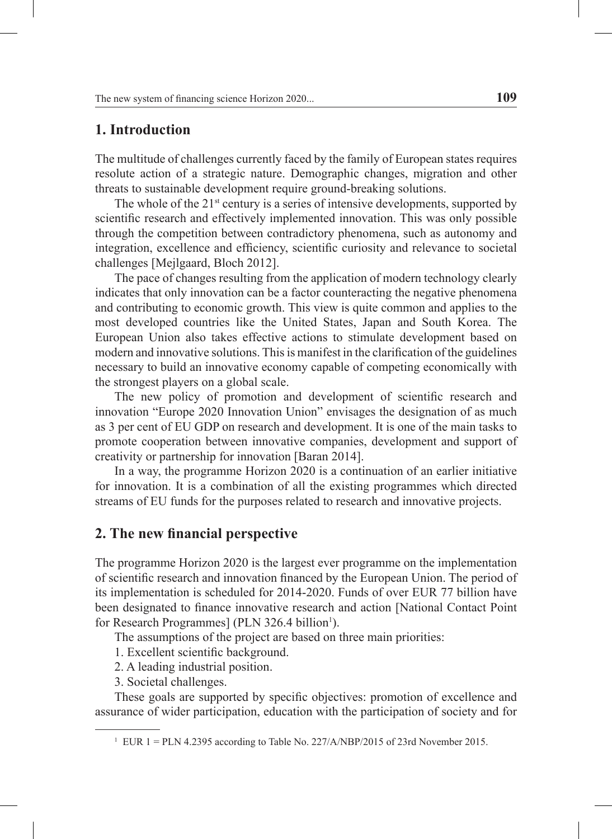### **1. Introduction**

The multitude of challenges currently faced by the family of European states requires resolute action of a strategic nature. Demographic changes, migration and other threats to sustainable development require ground-breaking solutions.

The whole of the  $21<sup>st</sup>$  century is a series of intensive developments, supported by scientific research and effectively implemented innovation. This was only possible through the competition between contradictory phenomena, such as autonomy and integration, excellence and efficiency, scientific curiosity and relevance to societal challenges [Mejlgaard, Bloch 2012].

The pace of changes resulting from the application of modern technology clearly indicates that only innovation can be a factor counteracting the negative phenomena and contributing to economic growth. This view is quite common and applies to the most developed countries like the United States, Japan and South Korea. The European Union also takes effective actions to stimulate development based on modern and innovative solutions. This is manifest in the clarification of the guidelines necessary to build an innovative economy capable of competing economically with the strongest players on a global scale.

The new policy of promotion and development of scientific research and innovation "Europe 2020 Innovation Union" envisages the designation of as much as 3 per cent of EU GDP on research and development. It is one of the main tasks to promote cooperation between innovative companies, development and support of creativity or partnership for innovation [Baran 2014].

In a way, the programme Horizon 2020 is a continuation of an earlier initiative for innovation. It is a combination of all the existing programmes which directed streams of EU funds for the purposes related to research and innovative projects.

## **2. The new financial perspective**

The programme Horizon 2020 is the largest ever programme on the implementation of scientific research and innovation financed by the European Union. The period of its implementation is scheduled for 2014-2020. Funds of over EUR 77 billion have been designated to finance innovative research and action [National Contact Point for Research Programmes] (PLN 326.4 billion<sup>1</sup>).

The assumptions of the project are based on three main priorities:

1. Excellent scientific background.

2. A leading industrial position.

3. Societal challenges.

These goals are supported by specific objectives: promotion of excellence and assurance of wider participation, education with the participation of society and for

<sup>&</sup>lt;sup>1</sup> EUR 1 = PLN 4.2395 according to Table No. 227/A/NBP/2015 of 23rd November 2015.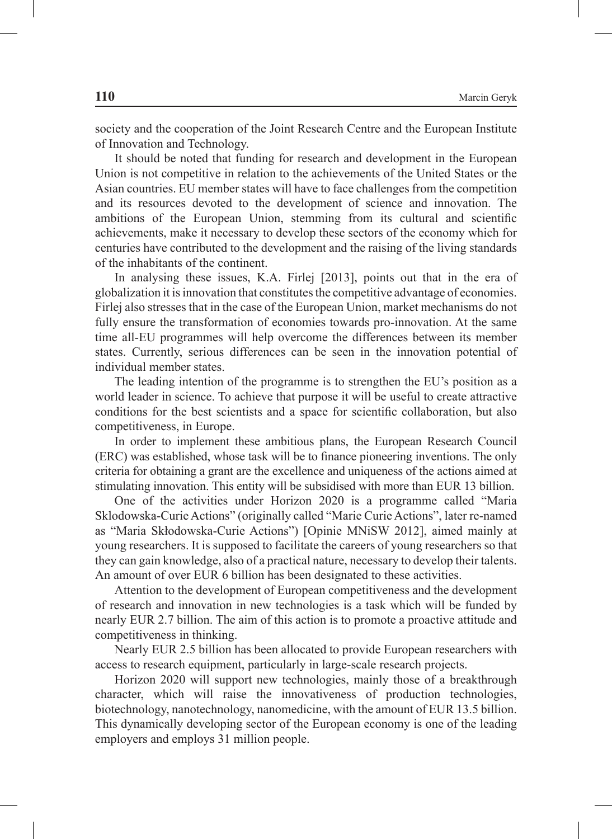society and the cooperation of the Joint Research Centre and the European Institute of Innovation and Technology.

It should be noted that funding for research and development in the European Union is not competitive in relation to the achievements of the United States or the Asian countries. EU member states will have to face challenges from the competition and its resources devoted to the development of science and innovation. The ambitions of the European Union, stemming from its cultural and scientific achievements, make it necessary to develop these sectors of the economy which for centuries have contributed to the development and the raising of the living standards of the inhabitants of the continent.

In analysing these issues, K.A. Firlej [2013], points out that in the era of globalization it is innovation that constitutes the competitive advantage of economies. Firlej also stresses that in the case of the European Union, market mechanisms do not fully ensure the transformation of economies towards pro-innovation. At the same time all-EU programmes will help overcome the differences between its member states. Currently, serious differences can be seen in the innovation potential of individual member states.

The leading intention of the programme is to strengthen the EU's position as a world leader in science. To achieve that purpose it will be useful to create attractive conditions for the best scientists and a space for scientific collaboration, but also competitiveness, in Europe.

In order to implement these ambitious plans, the European Research Council (ERC) was established, whose task will be to finance pioneering inventions. The only criteria for obtaining a grant are the excellence and uniqueness of the actions aimed at stimulating innovation. This entity will be subsidised with more than EUR 13 billion.

One of the activities under Horizon 2020 is a programme called "Maria Sklodowska-Curie Actions" (originally called "Marie Curie Actions", later re-named as "Maria Skłodowska-Curie Actions") [Opinie MNiSW 2012], aimed mainly at young researchers. It is supposed to facilitate the careers of young researchers so that they can gain knowledge, also of a practical nature, necessary to develop their talents. An amount of over EUR 6 billion has been designated to these activities.

Attention to the development of European competitiveness and the development of research and innovation in new technologies is a task which will be funded by nearly EUR 2.7 billion. The aim of this action is to promote a proactive attitude and competitiveness in thinking.

Nearly EUR 2.5 billion has been allocated to provide European researchers with access to research equipment, particularly in large-scale research projects.

Horizon 2020 will support new technologies, mainly those of a breakthrough character, which will raise the innovativeness of production technologies, biotechnology, nanotechnology, nanomedicine, with the amount of EUR 13.5 billion. This dynamically developing sector of the European economy is one of the leading employers and employs 31 million people.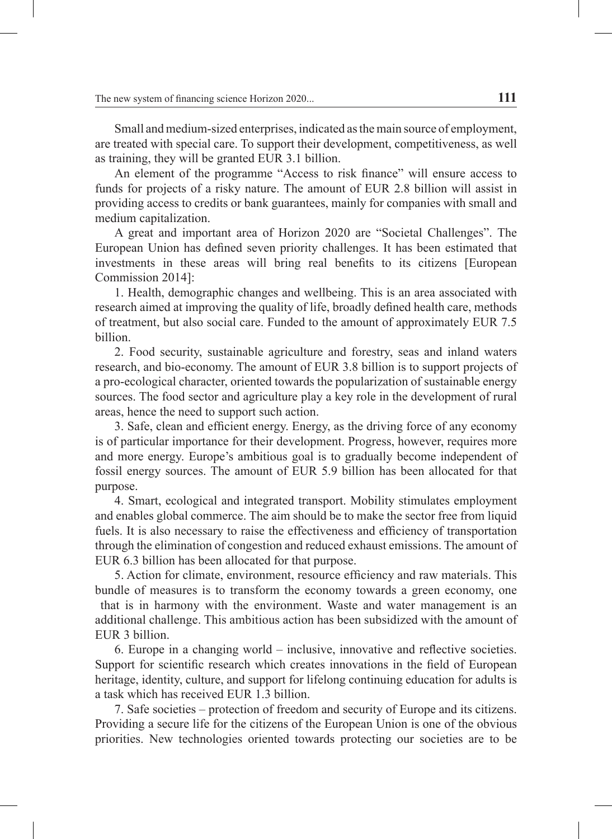Small and medium-sized enterprises, indicated as the main source of employment, are treated with special care. To support their development, competitiveness, as well as training, they will be granted EUR 3.1 billion.

An element of the programme "Access to risk finance" will ensure access to funds for projects of a risky nature. The amount of EUR 2.8 billion will assist in providing access to credits or bank guarantees, mainly for companies with small and medium capitalization.

A great and important area of Horizon 2020 are "Societal Challenges". The European Union has defined seven priority challenges. It has been estimated that investments in these areas will bring real benefits to its citizens [European Commission 2014]:

1. Health, demographic changes and wellbeing. This is an area associated with research aimed at improving the quality of life, broadly defined health care, methods of treatment, but also social care. Funded to the amount of approximately EUR 7.5 billion.

2. Food security, sustainable agriculture and forestry, seas and inland waters research, and bio-economy. The amount of EUR 3.8 billion is to support projects of a pro-ecological character, oriented towards the popularization of sustainable energy sources. The food sector and agriculture play a key role in the development of rural areas, hence the need to support such action.

3. Safe, clean and efficient energy. Energy, as the driving force of any economy is of particular importance for their development. Progress, however, requires more and more energy. Europe's ambitious goal is to gradually become independent of fossil energy sources. The amount of EUR 5.9 billion has been allocated for that purpose.

4. Smart, ecological and integrated transport. Mobility stimulates employment and enables global commerce. The aim should be to make the sector free from liquid fuels. It is also necessary to raise the effectiveness and efficiency of transportation through the elimination of congestion and reduced exhaust emissions. The amount of EUR 6.3 billion has been allocated for that purpose.

5. Action for climate, environment, resource efficiency and raw materials. This bundle of measures is to transform the economy towards a green economy, one that is in harmony with the environment. Waste and water management is an additional challenge. This ambitious action has been subsidized with the amount of EUR 3 billion.

6. Europe in a changing world – inclusive, innovative and reflective societies. Support for scientific research which creates innovations in the field of European heritage, identity, culture, and support for lifelong continuing education for adults is a task which has received EUR 1.3 billion.

7. Safe societies – protection of freedom and security of Europe and its citizens. Providing a secure life for the citizens of the European Union is one of the obvious priorities. New technologies oriented towards protecting our societies are to be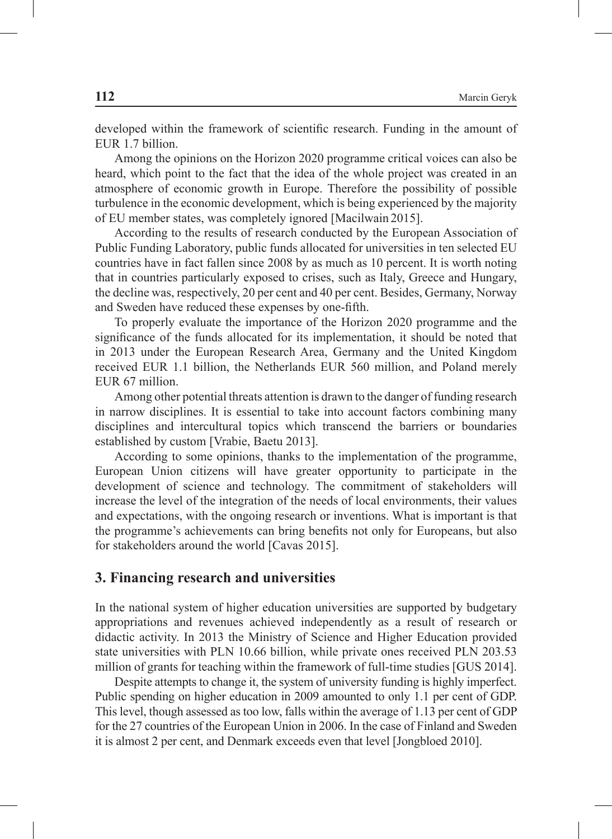developed within the framework of scientific research. Funding in the amount of EUR 1.7 billion.

Among the opinions on the Horizon 2020 programme critical voices can also be heard, which point to the fact that the idea of the whole project was created in an atmosphere of economic growth in Europe. Therefore the possibility of possible turbulence in the economic development, which is being experienced by the majority of EU member states, was completely ignored [Macilwain 2015].

According to the results of research conducted by the European Association of Public Funding Laboratory, public funds allocated for universities in ten selected EU countries have in fact fallen since 2008 by as much as 10 percent. It is worth noting that in countries particularly exposed to crises, such as Italy, Greece and Hungary, the decline was, respectively, 20 per cent and 40 per cent. Besides, Germany, Norway and Sweden have reduced these expenses by one-fifth.

To properly evaluate the importance of the Horizon 2020 programme and the significance of the funds allocated for its implementation, it should be noted that in 2013 under the European Research Area, Germany and the United Kingdom received EUR 1.1 billion, the Netherlands EUR 560 million, and Poland merely EUR 67 million.

Among other potential threats attention is drawn to the danger of funding research in narrow disciplines. It is essential to take into account factors combining many disciplines and intercultural topics which transcend the barriers or boundaries established by custom [Vrabie, Baetu 2013].

According to some opinions, thanks to the implementation of the programme, European Union citizens will have greater opportunity to participate in the development of science and technology. The commitment of stakeholders will increase the level of the integration of the needs of local environments, their values and expectations, with the ongoing research or inventions. What is important is that the programme's achievements can bring benefits not only for Europeans, but also for stakeholders around the world [Cavas 2015].

#### **3. Financing research and universities**

In the national system of higher education universities are supported by budgetary appropriations and revenues achieved independently as a result of research or didactic activity. In 2013 the Ministry of Science and Higher Education provided state universities with PLN 10.66 billion, while private ones received PLN 203.53 million of grants for teaching within the framework of full-time studies [GUS 2014].

Despite attempts to change it, the system of university funding is highly imperfect. Public spending on higher education in 2009 amounted to only 1.1 per cent of GDP. This level, though assessed as too low, falls within the average of 1.13 per cent of GDP for the 27 countries of the European Union in 2006. In the case of Finland and Sweden it is almost 2 per cent, and Denmark exceeds even that level [Jongbloed 2010].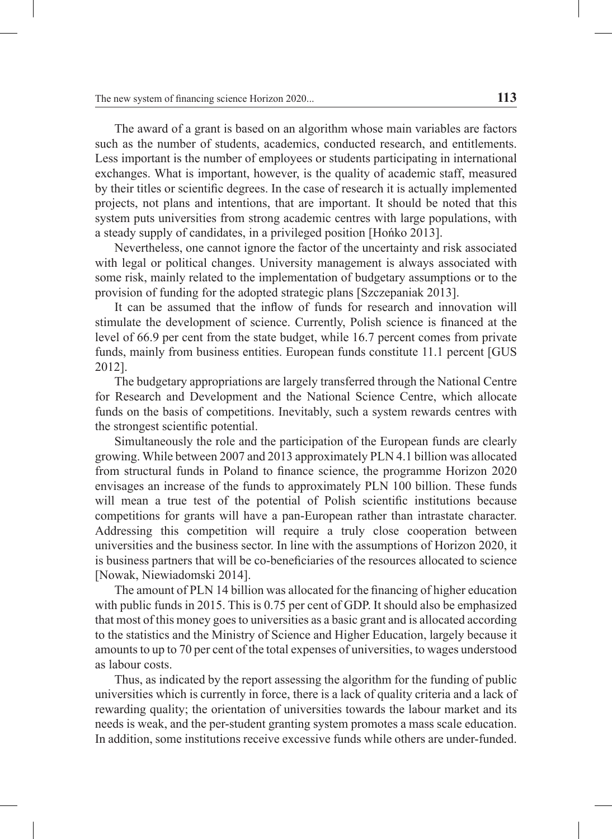The award of a grant is based on an algorithm whose main variables are factors such as the number of students, academics, conducted research, and entitlements. Less important is the number of employees or students participating in international exchanges. What is important, however, is the quality of academic staff, measured by their titles or scientific degrees. In the case of research it is actually implemented projects, not plans and intentions, that are important. It should be noted that this system puts universities from strong academic centres with large populations, with a steady supply of candidates, in a privileged position [Hońko 2013].

Nevertheless, one cannot ignore the factor of the uncertainty and risk associated with legal or political changes. University management is always associated with some risk, mainly related to the implementation of budgetary assumptions or to the provision of funding for the adopted strategic plans [Szczepaniak 2013].

It can be assumed that the inflow of funds for research and innovation will stimulate the development of science. Currently, Polish science is financed at the level of 66.9 per cent from the state budget, while 16.7 percent comes from private funds, mainly from business entities. European funds constitute 11.1 percent [GUS 2012].

The budgetary appropriations are largely transferred through the National Centre for Research and Development and the National Science Centre, which allocate funds on the basis of competitions. Inevitably, such a system rewards centres with the strongest scientific potential.

Simultaneously the role and the participation of the European funds are clearly growing. While between 2007 and 2013 approximately PLN 4.1 billion was allocated from structural funds in Poland to finance science, the programme Horizon 2020 envisages an increase of the funds to approximately PLN 100 billion. These funds will mean a true test of the potential of Polish scientific institutions because competitions for grants will have a pan-European rather than intrastate character. Addressing this competition will require a truly close cooperation between universities and the business sector. In line with the assumptions of Horizon 2020, it is business partners that will be co-beneficiaries of the resources allocated to science [Nowak, Niewiadomski 2014].

The amount of PLN 14 billion was allocated for the financing of higher education with public funds in 2015. This is 0.75 per cent of GDP. It should also be emphasized that most of this money goes to universities as a basic grant and is allocated according to the statistics and the Ministry of Science and Higher Education, largely because it amounts to up to 70 per cent of the total expenses of universities, to wages understood as labour costs.

Thus, as indicated by the report assessing the algorithm for the funding of public universities which is currently in force, there is a lack of quality criteria and a lack of rewarding quality; the orientation of universities towards the labour market and its needs is weak, and the per-student granting system promotes a mass scale education. In addition, some institutions receive excessive funds while others are under-funded.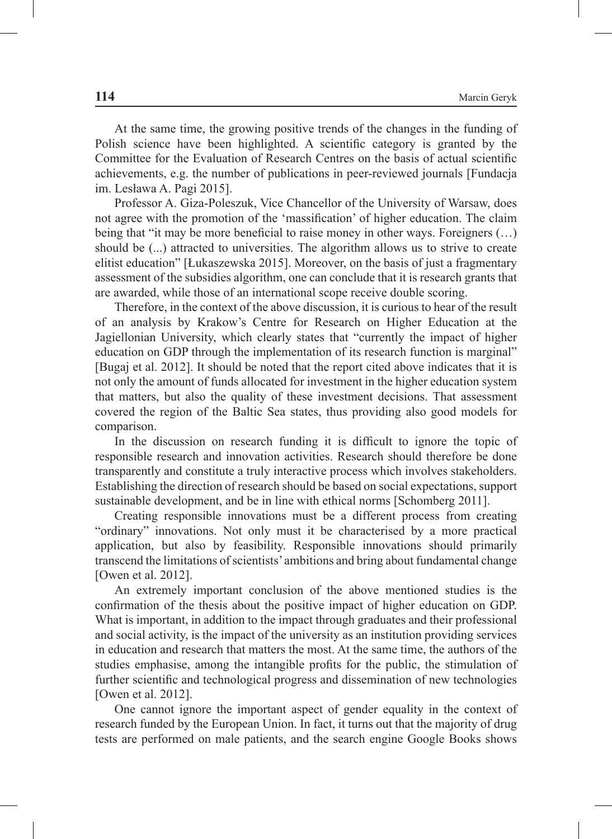At the same time, the growing positive trends of the changes in the funding of Polish science have been highlighted. A scientific category is granted by the Committee for the Evaluation of Research Centres on the basis of actual scientific achievements, e.g. the number of publications in peer-reviewed journals [Fundacja im. Lesława A. Pagi 2015].

Professor A. Giza-Poleszuk, Vice Chancellor of the University of Warsaw, does not agree with the promotion of the 'massification' of higher education. The claim being that "it may be more beneficial to raise money in other ways. Foreigners (…) should be (...) attracted to universities. The algorithm allows us to strive to create elitist education" [Łukaszewska 2015]. Moreover, on the basis of just a fragmentary assessment of the subsidies algorithm, one can conclude that it is research grants that are awarded, while those of an international scope receive double scoring.

Therefore, in the context of the above discussion, it is curious to hear of the result of an analysis by Krakow's Centre for Research on Higher Education at the Jagiellonian University, which clearly states that "currently the impact of higher education on GDP through the implementation of its research function is marginal" [Bugaj et al. 2012]. It should be noted that the report cited above indicates that it is not only the amount of funds allocated for investment in the higher education system that matters, but also the quality of these investment decisions. That assessment covered the region of the Baltic Sea states, thus providing also good models for comparison.

In the discussion on research funding it is difficult to ignore the topic of responsible research and innovation activities. Research should therefore be done transparently and constitute a truly interactive process which involves stakeholders. Establishing the direction of research should be based on social expectations, support sustainable development, and be in line with ethical norms [Schomberg 2011].

Creating responsible innovations must be a different process from creating "ordinary" innovations. Not only must it be characterised by a more practical application, but also by feasibility. Responsible innovations should primarily transcend the limitations of scientists' ambitions and bring about fundamental change [Owen et al. 2012].

An extremely important conclusion of the above mentioned studies is the confirmation of the thesis about the positive impact of higher education on GDP. What is important, in addition to the impact through graduates and their professional and social activity, is the impact of the university as an institution providing services in education and research that matters the most. At the same time, the authors of the studies emphasise, among the intangible profits for the public, the stimulation of further scientific and technological progress and dissemination of new technologies [Owen et al. 2012].

One cannot ignore the important aspect of gender equality in the context of research funded by the European Union. In fact, it turns out that the majority of drug tests are performed on male patients, and the search engine Google Books shows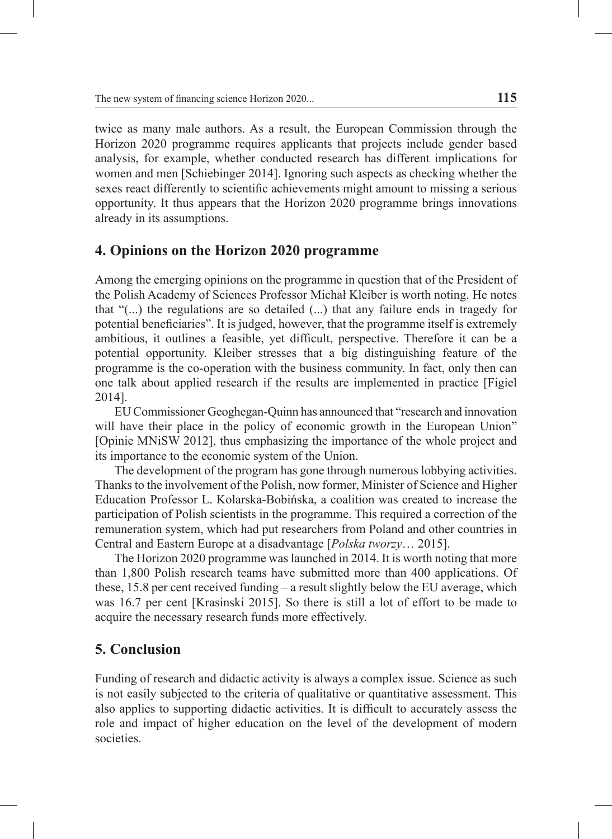twice as many male authors. As a result, the European Commission through the Horizon 2020 programme requires applicants that projects include gender based analysis, for example, whether conducted research has different implications for women and men [Schiebinger 2014]. Ignoring such aspects as checking whether the sexes react differently to scientific achievements might amount to missing a serious opportunity. It thus appears that the Horizon 2020 programme brings innovations already in its assumptions.

### **4. Opinions on the Horizon 2020 programme**

Among the emerging opinions on the programme in question that of the President of the Polish Academy of Sciences Professor Michał Kleiber is worth noting. He notes that "(...) the regulations are so detailed (...) that any failure ends in tragedy for potential beneficiaries". It is judged, however, that the programme itself is extremely ambitious, it outlines a feasible, yet difficult, perspective. Therefore it can be a potential opportunity. Kleiber stresses that a big distinguishing feature of the programme is the co-operation with the business community. In fact, only then can one talk about applied research if the results are implemented in practice [Figiel 2014].

EU Commissioner Geoghegan-Quinn has announced that "research and innovation will have their place in the policy of economic growth in the European Union" [Opinie MNiSW 2012], thus emphasizing the importance of the whole project and its importance to the economic system of the Union.

The development of the program has gone through numerous lobbying activities. Thanks to the involvement of the Polish, now former, Minister of Science and Higher Education Professor L. Kolarska-Bobińska, a coalition was created to increase the participation of Polish scientists in the programme. This required a correction of the remuneration system, which had put researchers from Poland and other countries in Central and Eastern Europe at a disadvantage [*Polska tworzy*… 2015].

The Horizon 2020 programme was launched in 2014. It is worth noting that more than 1,800 Polish research teams have submitted more than 400 applications. Of these, 15.8 per cent received funding – a result slightly below the EU average, which was 16.7 per cent [Krasinski 2015]. So there is still a lot of effort to be made to acquire the necessary research funds more effectively.

## **5. Conclusion**

Funding of research and didactic activity is always a complex issue. Science as such is not easily subjected to the criteria of qualitative or quantitative assessment. This also applies to supporting didactic activities. It is difficult to accurately assess the role and impact of higher education on the level of the development of modern societies.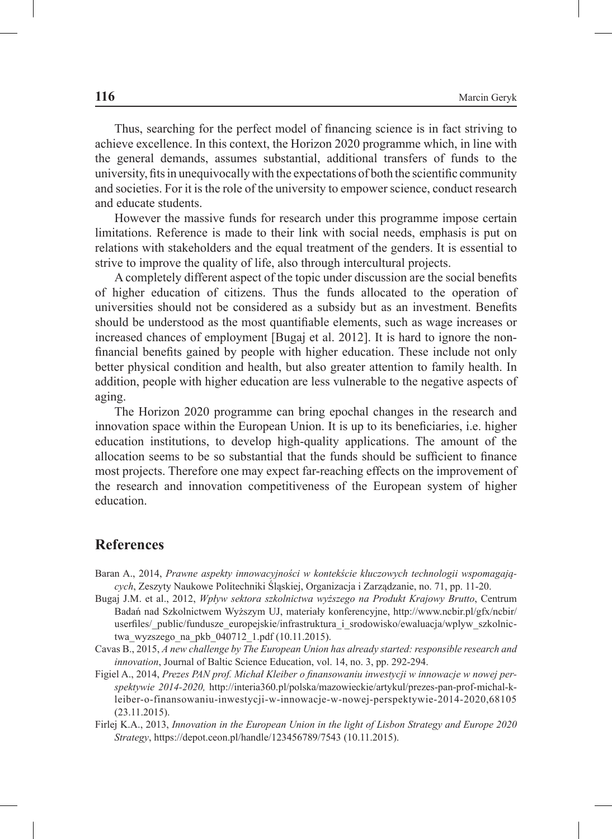Thus, searching for the perfect model of financing science is in fact striving to achieve excellence. In this context, the Horizon 2020 programme which, in line with the general demands, assumes substantial, additional transfers of funds to the university, fits in unequivocally with the expectations of both the scientific community and societies. For it is the role of the university to empower science, conduct research and educate students.

However the massive funds for research under this programme impose certain limitations. Reference is made to their link with social needs, emphasis is put on relations with stakeholders and the equal treatment of the genders. It is essential to strive to improve the quality of life, also through intercultural projects.

A completely different aspect of the topic under discussion are the social benefits of higher education of citizens. Thus the funds allocated to the operation of universities should not be considered as a subsidy but as an investment. Benefits should be understood as the most quantifiable elements, such as wage increases or increased chances of employment [Bugaj et al. 2012]. It is hard to ignore the nonfinancial benefits gained by people with higher education. These include not only better physical condition and health, but also greater attention to family health. In addition, people with higher education are less vulnerable to the negative aspects of aging.

The Horizon 2020 programme can bring epochal changes in the research and innovation space within the European Union. It is up to its beneficiaries, i.e. higher education institutions, to develop high-quality applications. The amount of the allocation seems to be so substantial that the funds should be sufficient to finance most projects. Therefore one may expect far-reaching effects on the improvement of the research and innovation competitiveness of the European system of higher education.

#### **References**

- Baran A., 2014, *Prawne aspekty innowacyjności w kontekście kluczowych technologii wspomagających*, Zeszyty Naukowe Politechniki Śląskiej, Organizacja i Zarządzanie, no. 71, pp. 11-20.
- Bugaj J.M. et al., 2012, *Wpływ sektora szkolnictwa wyższego na Produkt Krajowy Brutto*, Centrum Badań nad Szkolnictwem Wyższym UJ, materiały konferencyjne, http://www.ncbir.pl/gfx/ncbir/ userfiles/\_public/fundusze\_europejskie/infrastruktura\_i\_srodowisko/ewaluacja/wplyw\_szkolnictwa wyzszego na pkb 040712 1.pdf (10.11.2015).
- Cavas B., 2015, *A new challenge by The European Union has already started: responsible research and innovation*, Journal of Baltic Science Education, vol. 14, no. 3, pp. 292-294.
- Figiel A., 2014, *Prezes PAN prof. Michał Kleiber o finansowaniu inwestycji w innowacje w nowej perspektywie 2014-2020,* http://interia360.pl/polska/mazowieckie/artykul/prezes-pan-prof-michal-kleiber-o-finansowaniu-inwestycji-w-innowacje-w-nowej-perspektywie-2014-2020,68105 (23.11.2015).
- Firlej K.A., 2013, *Innovation in the European Union in the light of Lisbon Strategy and Europe 2020 Strategy*, https://depot.ceon.pl/handle/123456789/7543 (10.11.2015).